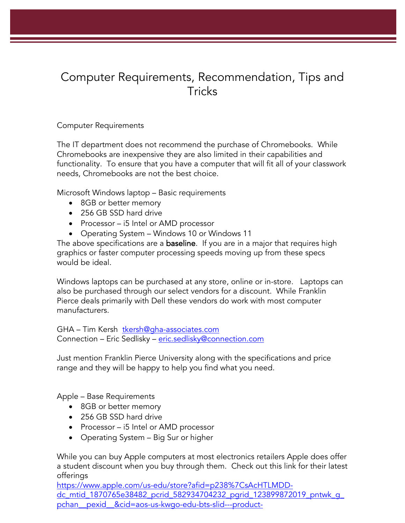## Computer Requirements, Recommendation, Tips and Tricks

## Computer Requirements

The IT department does not recommend the purchase of Chromebooks. While Chromebooks are inexpensive they are also limited in their capabilities and functionality. To ensure that you have a computer that will fit all of your classwork needs, Chromebooks are not the best choice.

Microsoft Windows laptop – Basic requirements

- 8GB or better memory
- 256 GB SSD hard drive
- Processor i5 Intel or AMD processor
- Operating System Windows 10 or Windows 11

The above specifications are a **baseline**. If you are in a major that requires high graphics or faster computer processing speeds moving up from these specs would be ideal.

Windows laptops can be purchased at any store, online or in-store. Laptops can also be purchased through our select vendors for a discount. While Franklin Pierce deals primarily with Dell these vendors do work with most computer manufacturers.

GHA – Tim Kersh [tkersh@gha-associates.com](mailto:tkersh@gha-associates.com) Connection - Eric Sedlisky - [eric.sedlisky@connection.com](mailto:eric.sedlisky@connection.com)

Just mention Franklin Pierce University along with the specifications and price range and they will be happy to help you find what you need.

Apple – Base Requirements

- 8GB or better memory
- 256 GB SSD hard drive
- Processor i5 Intel or AMD processor
- Operating System Big Sur or higher

While you can buy Apple computers at most electronics retailers Apple does offer a student discount when you buy through them. Check out this link for their latest offerings

[https://www.apple.com/us-edu/store?afid=p238%7CsAcHTLMDD](https://www.apple.com/us-edu/store?afid=p238%7CsAcHTLMDD-dc_mtid_1870765e38482_pcrid_582934704232_pgrid_123899872019_pntwk_g_pchan__pexid__&cid=aos-us-kwgo-edu-bts-slid---product-)[dc\\_mtid\\_1870765e38482\\_pcrid\\_582934704232\\_pgrid\\_123899872019\\_pntwk\\_g\\_](https://www.apple.com/us-edu/store?afid=p238%7CsAcHTLMDD-dc_mtid_1870765e38482_pcrid_582934704232_pgrid_123899872019_pntwk_g_pchan__pexid__&cid=aos-us-kwgo-edu-bts-slid---product-) [pchan\\_\\_pexid\\_\\_&cid=aos-us-kwgo-edu-bts-slid---product-](https://www.apple.com/us-edu/store?afid=p238%7CsAcHTLMDD-dc_mtid_1870765e38482_pcrid_582934704232_pgrid_123899872019_pntwk_g_pchan__pexid__&cid=aos-us-kwgo-edu-bts-slid---product-)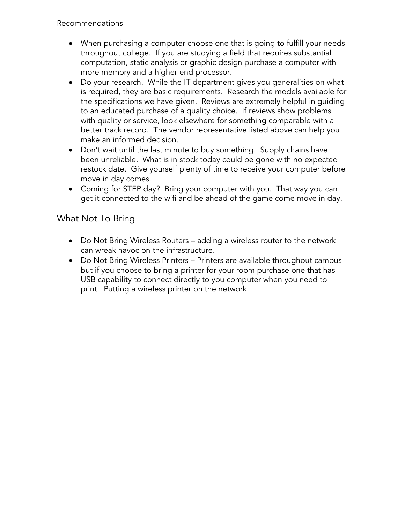- When purchasing a computer choose one that is going to fulfill your needs throughout college. If you are studying a field that requires substantial computation, static analysis or graphic design purchase a computer with more memory and a higher end processor.
- Do your research. While the IT department gives you generalities on what is required, they are basic requirements. Research the models available for the specifications we have given. Reviews are extremely helpful in guiding to an educated purchase of a quality choice. If reviews show problems with quality or service, look elsewhere for something comparable with a better track record. The vendor representative listed above can help you make an informed decision.
- Don't wait until the last minute to buy something. Supply chains have been unreliable. What is in stock today could be gone with no expected restock date. Give yourself plenty of time to receive your computer before move in day comes.
- Coming for STEP day? Bring your computer with you. That way you can get it connected to the wifi and be ahead of the game come move in day.

## What Not To Bring

- Do Not Bring Wireless Routers adding a wireless router to the network can wreak havoc on the infrastructure.
- Do Not Bring Wireless Printers Printers are available throughout campus but if you choose to bring a printer for your room purchase one that has USB capability to connect directly to you computer when you need to print. Putting a wireless printer on the network